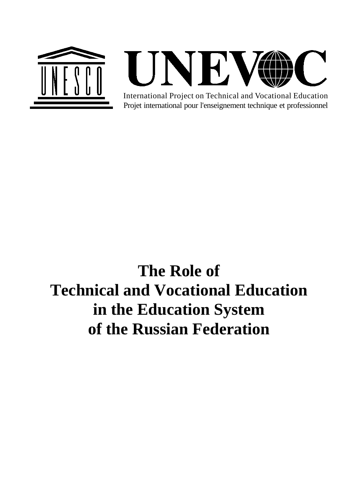

ONEV

Projet international pour l'enseignement technique et professionnel International Project on Technical and Vocational Education

# **The Role of Technical and Vocational Education in the Education System of the Russian Federation**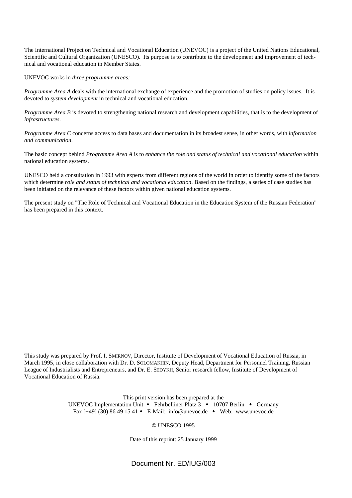The International Project on Technical and Vocational Education (UNEVOC) is a project of the United Nations Educational, Scientific and Cultural Organization (UNESCO). Its purpose is to contribute to the development and improvement of technical and vocational education in Member States.

UNEVOC works in *three programme areas:*

*Programme Area A* deals with the international exchange of experience and the promotion of studies on policy issues. It is devoted to *system development* in technical and vocational education.

*Programme Area B* is devoted to strengthening national research and development capabilities, that is to the development of *infrastructures*.

*Programme Area C* concerns access to data bases and documentation in its broadest sense, in other words, with *information and communication*.

The basic concept behind *Programme Area A* is to *enhance the role and status of technical and vocational education* within national education systems.

UNESCO held a consultation in 1993 with experts from different regions of the world in order to identify some of the factors which determine *role and status of technical and vocational education*. Based on the findings, a series of case studies has been initiated on the relevance of these factors within given national education systems.

The present study on "The Role of Technical and Vocational Education in the Education System of the Russian Federation" has been prepared in this context.

This study was prepared by Prof. I. SMIRNOV, Director, Institute of Development of Vocational Education of Russia, in March 1995, in close collaboration with Dr. D. SOLOMAKHIN, Deputy Head, Department for Personnel Training, Russian League of Industrialists and Entrepreneurs, and Dr. E. SEDYKH, Senior research fellow, Institute of Development of Vocational Education of Russia.

> This print version has been prepared at the UNEVOC Implementation Unit • Fehrbelliner Platz 3 • 10707 Berlin • Germany Fax  $[-49]$  (30) 86 49 15 41 • E-Mail: info@unevoc.de • Web: www.unevoc.de

#### © UNESCO 1995

Date of this reprint: 25 January 1999

Document Nr. ED/IUG/003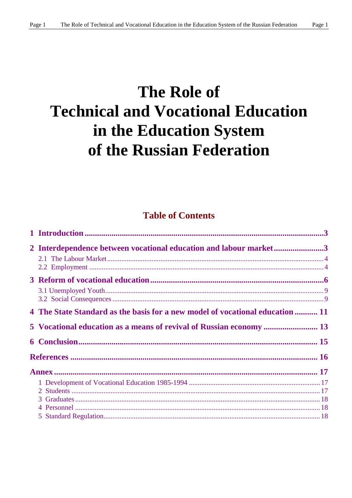# **The Role of Technical and Vocational Education** in the Education System of the Russian Federation

## **Table of Contents**

| 2 Interdependence between vocational education and labour market3             |  |
|-------------------------------------------------------------------------------|--|
|                                                                               |  |
|                                                                               |  |
|                                                                               |  |
|                                                                               |  |
|                                                                               |  |
| 4 The State Standard as the basis for a new model of vocational education  11 |  |
| 5 Vocational education as a means of revival of Russian economy  13           |  |
|                                                                               |  |
|                                                                               |  |
|                                                                               |  |
|                                                                               |  |
|                                                                               |  |
|                                                                               |  |
|                                                                               |  |
|                                                                               |  |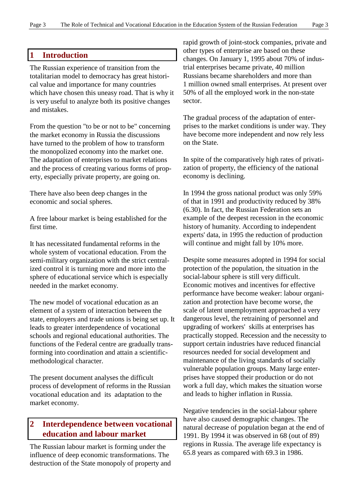#### **1 Introduction**

The Russian experience of transition from the totalitarian model to democracy has great historical value and importance for many countries which have chosen this uneasy road. That is why it is very useful to analyze both its positive changes and mistakes.

From the question "to be or not to be" concerning the market economy in Russia the discussions have turned to the problem of how to transform the monopolized economy into the market one. The adaptation of enterprises to market relations and the process of creating various forms of property, especially private property, are going on.

There have also been deep changes in the economic and social spheres.

A free labour market is being established for the first time.

It has necessitated fundamental reforms in the whole system of vocational education. From the semi-military organization with the strict centralized control it is turning more and more into the sphere of educational service which is especially needed in the market economy.

The new model of vocational education as an element of a system of interaction between the state, employers and trade unions is being set up. It leads to greater interdependence of vocational schools and regional educational authorities. The functions of the Federal centre are gradually transforming into coordination and attain a scientificmethodological character.

The present document analyses the difficult process of development of reforms in the Russian vocational education and its adaptation to the market economy.

## **2 Interdependence between vocational education and labour market**

The Russian labour market is forming under the influence of deep economic transformations. The destruction of the State monopoly of property and rapid growth of joint-stock companies, private and other types of enterprise are based on these changes. On January 1, 1995 about 70% of industrial enterprises became private, 40 million Russians became shareholders and more than 1 million owned small enterprises. At present over 50% of all the employed work in the non-state sector.

The gradual process of the adaptation of enterprises to the market conditions is under way. They have become more independent and now rely less on the State.

In spite of the comparatively high rates of privatization of property, the efficiency of the national economy is declining.

In 1994 the gross national product was only 59% of that in 1991 and productivity reduced by 38% (6.30). In fact, the Russian Federation sets an example of the deepest recession in the economic history of humanity. According to independent experts' data, in 1995 the reduction of production will continue and might fall by 10% more.

Despite some measures adopted in 1994 for social protection of the population, the situation in the social-labour sphere is still very difficult. Economic motives and incentives for effective performance have become weaker: labour organization and protection have become worse, the scale of latent unemployment approached a very dangerous level, the retraining of personnel and upgrading of workers' skills at enterprises has practically stopped. Recession and the necessity to support certain industries have reduced financial resources needed for social development and maintenance of the living standards of socially vulnerable population groups. Many large enterprises have stopped their production or do not work a full day, which makes the situation worse and leads to higher inflation in Russia.

Negative tendencies in the social-labour sphere have also caused demographic changes. The natural decrease of population began at the end of 1991. By 1994 it was observed in 68 (out of 89) regions in Russia. The average life expectancy is 65.8 years as compared with 69.3 in 1986.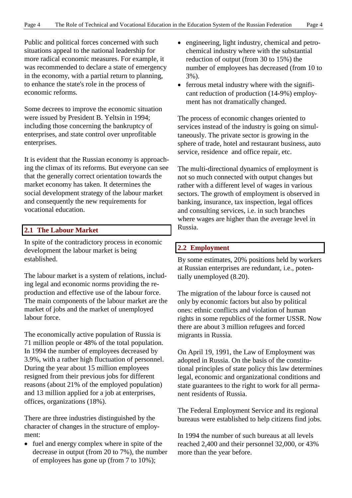Public and political forces concerned with such situations appeal to the national leadership for more radical economic measures. For example, it was recommended to declare a state of emergency in the economy, with a partial return to planning, to enhance the state's role in the process of economic reforms.

Some decrees to improve the economic situation were issued by President B. Yeltsin in 1994; including those concerning the bankruptcy of enterprises, and state control over unprofitable enterprises.

It is evident that the Russian economy is approaching the climax of its reforms. But everyone can see that the generally correct orientation towards the market economy has taken. It determines the social development strategy of the labour market and consequently the new requirements for vocational education.

## **2.1 The Labour Market**

In spite of the contradictory process in economic development the labour market is being established.

The labour market is a system of relations, including legal and economic norms providing the reproduction and effective use of the labour force. The main components of the labour market are the market of jobs and the market of unemployed labour force.

The economically active population of Russia is 71 million people or 48% of the total population. In 1994 the number of employees decreased by 3.9%, with a rather high fluctuation of personnel. During the year about 15 million employees resigned from their previous jobs for different reasons (about 21% of the employed population) and 13 million applied for a job at enterprises, offices, organizations (18%).

There are three industries distinguished by the character of changes in the structure of employment:

 $\bullet$  fuel and energy complex where in spite of the decrease in output (from 20 to 7%), the number of employees has gone up (from 7 to 10%);

- engineering, light industry, chemical and petrochemical industry where with the substantial reduction of output (from 30 to 15%) the number of employees has decreased (from 10 to 3%).
- $\bullet$  ferrous metal industry where with the significant reduction of production (14-9%) employment has not dramatically changed.

The process of economic changes oriented to services instead of the industry is going on simultaneously. The private sector is growing in the sphere of trade, hotel and restaurant business, auto service, residence and office repair, etc.

The multi-directional dynamics of employment is not so much connected with output changes but rather with a different level of wages in various sectors. The growth of employment is observed in banking, insurance, tax inspection, legal offices and consulting services, i.e. in such branches where wages are higher than the average level in Russia.

## **2.2 Employment**

By some estimates, 20% positions held by workers at Russian enterprises are redundant, i.e., potentially unemployed (8.20).

The migration of the labour force is caused not only by economic factors but also by political ones: ethnic conflicts and violation of human rights in some republics of the former USSR. Now there are about 3 million refugees and forced migrants in Russia.

On April 19, 1991, the Law of Employment was adopted in Russia. On the basis of the constitutional principles of state policy this law determines legal, economic and organizational conditions and state guarantees to the right to work for all permanent residents of Russia.

The Federal Employment Service and its regional bureaus were established to help citizens find jobs.

In 1994 the number of such bureaus at all levels reached 2,400 and their personnel 32,000, or 43% more than the year before.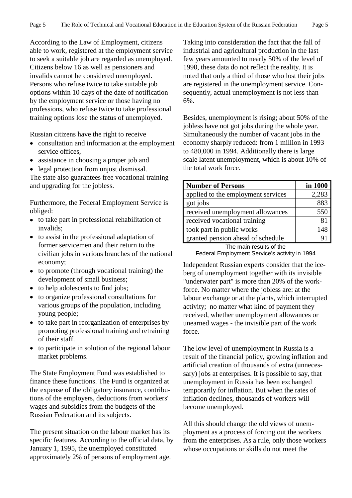According to the Law of Employment, citizens able to work, registered at the employment service to seek a suitable job are regarded as unemployed. Citizens below 16 as well as pensioners and invalids cannot be considered unemployed. Persons who refuse twice to take suitable job options within 10 days of the date of notification by the employment service or those having no professions, who refuse twice to take professional training options lose the status of unemployed.

Russian citizens have the right to receive

- consultation and information at the employment service offices,
- assistance in choosing a proper job and
- legal protection from unjust dismissal.

The state also guarantees free vocational training and upgrading for the jobless.

Furthermore, the Federal Employment Service is obliged:

- to take part in professional rehabilitation of invalids;
- to assist in the professional adaptation of former servicemen and their return to the civilian jobs in various branches of the national economy;
- to promote (through vocational training) the development of small business;
- to help adolescents to find jobs;
- to organize professional consultations for various groups of the population, including young people;
- to take part in reorganization of enterprises by promoting professional training and retraining of their staff.
- to participate in solution of the regional labour market problems.

The State Employment Fund was established to finance these functions. The Fund is organized at the expense of the obligatory insurance, contributions of the employers, deductions from workers' wages and subsidies from the budgets of the Russian Federation and its subjects.

The present situation on the labour market has its specific features. According to the official data, by January 1, 1995, the unemployed constituted approximately 2% of persons of employment age.

Taking into consideration the fact that the fall of industrial and agricultural production in the last few years amounted to nearly 50% of the level of 1990, these data do not reflect the reality. It is noted that only a third of those who lost their jobs are registered in the unemployment service. Consequently, actual unemployment is not less than 6%.

Besides, unemployment is rising; about 50% of the jobless have not got jobs during the whole year. Simultaneously the number of vacant jobs in the economy sharply reduced: from 1 million in 1993 to 480,000 in 1994. Additionally there is large scale latent unemployment, which is about 10% of the total work force.

| <b>Number of Persons</b>           | in 1000 |  |  |
|------------------------------------|---------|--|--|
| applied to the employment services | 2,283   |  |  |
| got jobs                           | 883     |  |  |
| received unemployment allowances   | 550     |  |  |
| received vocational training       | 81      |  |  |
| took part in public works          | 148     |  |  |
| granted pension ahead of schedule  |         |  |  |

The main results of the Federal Employment Service's activity in 1994

Independent Russian experts consider that the iceberg of unemployment together with its invisible "underwater part" is more than 20% of the workforce. No matter where the jobless are: at the labour exchange or at the plants, which interrupted activity; no matter what kind of payment they received, whether unemployment allowances or unearned wages - the invisible part of the work force.

The low level of unemployment in Russia is a result of the financial policy, growing inflation and artificial creation of thousands of extra (unnecessary) jobs at enterprises. It is possible to say, that unemployment in Russia has been exchanged temporarily for inflation. But when the rates of inflation declines, thousands of workers will become unemployed.

All this should change the old views of unemployment as a process of forcing out the workers from the enterprises. As a rule, only those workers whose occupations or skills do not meet the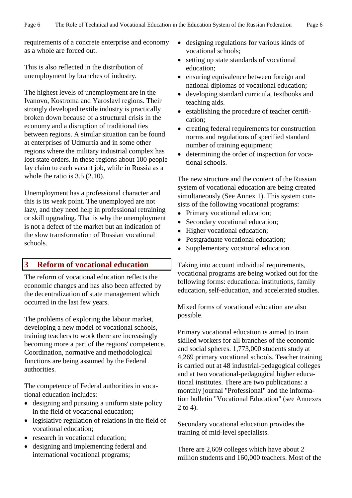requirements of a concrete enterprise and economy as a whole are forced out.

This is also reflected in the distribution of unemployment by branches of industry.

The highest levels of unemployment are in the Ivanovo, Kostroma and Yaroslavl regions. Their strongly developed textile industry is practically broken down because of a structural crisis in the economy and a disruption of traditional ties between regions. A similar situation can be found at enterprises of Udmurtia and in some other regions where the military industrial complex has lost state orders. In these regions about 100 people lay claim to each vacant job, while in Russia as a whole the ratio is 3.5 (2.10).

Unemployment has a professional character and this is its weak point. The unemployed are not lazy, and they need help in professional retraining or skill upgrading. That is why the unemployment is not a defect of the market but an indication of the slow transformation of Russian vocational schools.

## **3 Reform of vocational education**

The reform of vocational education reflects the economic changes and has also been affected by the decentralization of state management which occurred in the last few years.

The problems of exploring the labour market, developing a new model of vocational schools, training teachers to work there are increasingly becoming more a part of the regions' competence. Coordination, normative and methodological functions are being assumed by the Federal authorities.

The competence of Federal authorities in vocational education includes:

- designing and pursuing a uniform state policy in the field of vocational education;
- legislative regulation of relations in the field of vocational education;
- research in vocational education;
- designing and implementing federal and international vocational programs;
- designing regulations for various kinds of vocational schools;
- setting up state standards of vocational education;
- ensuring equivalence between foreign and national diplomas of vocational education;
- developing standard curricula, textbooks and teaching aids.
- establishing the procedure of teacher certification;
- creating federal requirements for construction norms and regulations of specified standard number of training equipment;
- $\overline{\phantom{a}}$  determining the order of inspection for vocational schools.

The new structure and the content of the Russian system of vocational education are being created simultaneously (See Annex 1). This system consists of the following vocational programs:

- Primary vocational education;
- Secondary vocational education;
- Higher vocational education;
- Postgraduate vocational education;
- Supplementary vocational education.

Taking into account individual requirements, vocational programs are being worked out for the following forms: educational institutions, family education, self-education, and accelerated studies.

Mixed forms of vocational education are also possible.

Primary vocational education is aimed to train skilled workers for all branches of the economic and social spheres. 1,773,000 students study at 4,269 primary vocational schools. Teacher training is carried out at 48 industrial-pedagogical colleges and at two vocational-pedagogical higher educational institutes. There are two publications: a monthly journal "Professional" and the information bulletin "Vocational Education" (see Annexes 2 to 4).

Secondary vocational education provides the training of mid-level specialists.

There are 2,609 colleges which have about 2 million students and 160,000 teachers. Most of the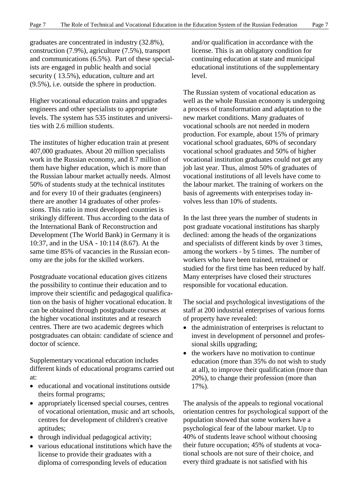graduates are concentrated in industry (32.8%), construction (7.9%), agriculture (7.5%), transport and communications (6.5%). Part of these specialists are engaged in public health and social security ( 13.5%), education, culture and art (9.5%), i.e. outside the sphere in production.

Higher vocational education trains and upgrades engineers and other specialists to appropriate levels. The system has 535 institutes and universities with 2.6 million students.

The institutes of higher education train at present 407,000 graduates. About 20 million specialists work in the Russian economy, and 8.7 million of them have higher education, which is more than the Russian labour market actually needs. Almost 50% of students study at the technical institutes and for every 10 of their graduates (engineers) there are another 14 graduates of other professions. This ratio in most developed countries is strikingly different. Thus according to the data of the International Bank of Reconstruction and Development (The World Bank) in Germany it is 10:37, and in the USA - 10:114 (8.67). At the same time 85% of vacancies in the Russian economy are the jobs for the skilled workers.

Postgraduate vocational education gives citizens the possibility to continue their education and to improve their scientific and pedagogical qualification on the basis of higher vocational education. It can be obtained through postgraduate courses at the higher vocational institutes and at research centres. There are two academic degrees which postgraduates can obtain: candidate of science and doctor of science.

Supplementary vocational education includes different kinds of educational programs carried out at:

- educational and vocational institutions outside theirs formal programs;
- appropriately licensed special courses, centres of vocational orientation, music and art schools, centres for development of children's creative aptitudes;
- through individual pedagogical activity;
- various educational institutions which have the license to provide their graduates with a diploma of corresponding levels of education

and/or qualification in accordance with the license. This is an obligatory condition for continuing education at state and municipal educational institutions of the supplementary level.

The Russian system of vocational education as well as the whole Russian economy is undergoing a process of transformation and adaptation to the new market conditions. Many graduates of vocational schools are not needed in modern production. For example, about 15% of primary vocational school graduates, 60% of secondary vocational school graduates and 50% of higher vocational institution graduates could not get any job last year. Thus, almost 50% of graduates of vocational institutions of all levels have come to the labour market. The training of workers on the basis of agreements with enterprises today involves less than 10% of students.

In the last three years the number of students in post graduate vocational institutions has sharply declined: among the heads of the organizations and specialists of different kinds by over 3 times, among the workers - by 5 times. The number of workers who have been trained, retrained or studied for the first time has been reduced by half. Many enterprises have closed their structures responsible for vocational education.

The social and psychological investigations of the staff at 200 industrial enterprises of various forms of property have revealed:

- $\bullet$  the administration of enterprises is reluctant to invest in development of personnel and professional skills upgrading;
- $\bullet$  the workers have no motivation to continue education (more than 35% do not wish to study at all), to improve their qualification (more than 20%), to change their profession (more than 17%).

The analysis of the appeals to regional vocational orientation centres for psychological support of the population showed that some workers have a psychological fear of the labour market. Up to 40% of students leave school without choosing their future occupation; 45% of students at vocational schools are not sure of their choice, and every third graduate is not satisfied with his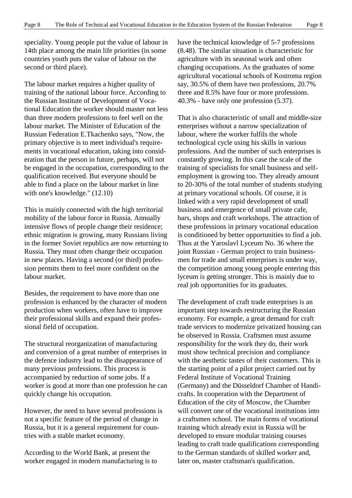speciality. Young people put the value of labour in 14th place among the main life priorities (in some countries youth puts the value of labour on the second or third place).

The labour market requires a higher quality of training of the national labour force. According to the Russian Institute of Development of Vocational Education the worker should master not less than three modern professions to feel well on the labour market. The Minister of Education of the Russian Federation E.Tkachenko says, "Now, the primary objective is to meet individual's requirements in vocational education, taking into consideration that the person in future, perhaps, will not be engaged in the occupation, corresponding to the qualification received. But everyone should be able to find a place on the labour market in line with one's knowledge." (12.10)

This is mainly connected with the high territorial mobility of the labour force in Russia. Annually intensive flows of people change their residence; ethnic migration is growing, many Russians living in the former Soviet republics are now returning to Russia. They must often change their occupation in new places. Having a second (or third) profession permits them to feel more confident on the labour market.

Besides, the requirement to have more than one profession is enhanced by the character of modern production when workers, often have to improve their professional skills and expand their professional field of occupation.

The structural reorganization of manufacturing and conversion of a great number of enterprises in the defence industry lead to the disappearance of many previous professions. This process is accompanied by reduction of some jobs. If a worker is good at more than one profession he can quickly change his occupation.

However, the need to have several professions is not a specific feature of the period of change in Russia, but it is a general requirement for countries with a stable market economy.

According to the World Bank, at present the worker engaged in modern manufacturing is to have the technical knowledge of 5-7 professions (8.48). The similar situation is characteristic for agriculture with its seasonal work and often changing occupations. As the graduates of some agricultural vocational schools of Kostroma region say, 30.5% of them have two professions, 20.7% three and 8.5% have four or more professions. 40.3% - have only one profession (5.37).

That is also characteristic of small and middle-size enterprises without a narrow specialization of labour, where the worker fulfils the whole technological cycle using his skills in various professions. And the number of such enterprises is constantly growing. In this case the scale of the training of specialists for small business and selfemployment is growing too. They already amount to 20-30% of the total number of students studying at primary vocational schools. Of course, it is linked with a very rapid development of small business and emergence of small private cafe, bars, shops and craft workshops. The attraction of these professions in primary vocational education is conditioned by better opportunities to find a job. Thus at the Yaroslavl Lyceum No. 36 where the joint Russian - German project to train businessmen for trade and small enterprises is under way, the competition among young people entering this lyceum is getting stronger. This is mainly due to real job opportunities for its graduates.

The development of craft trade enterprises is an important step towards restructuring the Russian economy. For example, a great demand for craft trade services to modernize privatized housing can be observed in Russia. Craftsmen must assume responsibility for the work they do, their work must show technical precision and compliance with the aesthetic tastes of their customers. This is the starting point of a pilot project carried out by Federal Institute of Vocational Training (Germany) and the Düsseldorf Chamber of Handicrafts. In cooperation with the Department of Education of the city of Moscow, the Chamber will convert one of the vocational institutions into a craftsmen school. The main forms of vocational training which already exist in Russia will be developed to ensure modular training courses leading to craft trade qualifications corresponding to the German standards of skilled worker and, later on, master craftsman's qualification.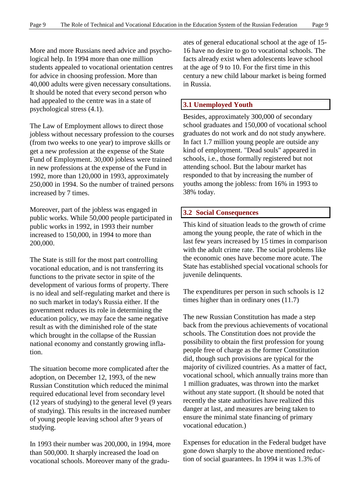More and more Russians need advice and psychological help. In 1994 more than one million students appealed to vocational orientation centres for advice in choosing profession. More than 40,000 adults were given necessary consultations. It should be noted that every second person who had appealed to the centre was in a state of psychological stress (4.1).

The Law of Employment allows to direct those jobless without necessary profession to the courses (from two weeks to one year) to improve skills or get a new profession at the expense of the State Fund of Employment. 30,000 jobless were trained in new professions at the expense of the Fund in 1992, more than 120,000 in 1993, approximately 250,000 in 1994. So the number of trained persons increased by 7 times.

Moreover, part of the jobless was engaged in public works. While 50,000 people participated in public works in 1992, in 1993 their number increased to 150,000, in 1994 to more than 200,000.

The State is still for the most part controlling vocational education, and is not transferring its functions to the private sector in spite of the development of various forms of property. There is no ideal and self-regulating market and there is no such market in today's Russia either. If the government reduces its role in determining the education policy, we may face the same negative result as with the diminished role of the state which brought in the collapse of the Russian national economy and constantly growing inflation.

The situation become more complicated after the adoption, on December 12, 1993, of the new Russian Constitution which reduced the minimal required educational level from secondary level (12 years of studying) to the general level (9 years of studying). This results in the increased number of young people leaving school after 9 years of studying.

In 1993 their number was 200,000, in 1994, more than 500,000. It sharply increased the load on vocational schools. Moreover many of the graduates of general educational school at the age of 15- 16 have no desire to go to vocational schools. The facts already exist when adolescents leave school at the age of 9 to 10. For the first time in this century a new child labour market is being formed in Russia.

## **3.1 Unemployed Youth**

Besides, approximately 300,000 of secondary school graduates and 150,000 of vocational school graduates do not work and do not study anywhere. In fact 1.7 million young people are outside any kind of employment. "Dead souls" appeared in schools, i.e., those formally registered but not attending school. But the labour market has responded to that by increasing the number of youths among the jobless: from 16% in 1993 to 38% today.

#### **3.2 Social Consequences**

This kind of situation leads to the growth of crime among the young people, the rate of which in the last few years increased by 15 times in comparison with the adult crime rate. The social problems like the economic ones have become more acute. The State has established special vocational schools for juvenile delinquents.

The expenditures per person in such schools is 12 times higher than in ordinary ones (11.7)

The new Russian Constitution has made a step back from the previous achievements of vocational schools. The Constitution does not provide the possibility to obtain the first profession for young people free of charge as the former Constitution did, though such provisions are typical for the majority of civilized countries. As a matter of fact, vocational school, which annually trains more than 1 million graduates, was thrown into the market without any state support. (It should be noted that recently the state authorities have realized this danger at last, and measures are being taken to ensure the minimal state financing of primary vocational education.)

Expenses for education in the Federal budget have gone down sharply to the above mentioned reduction of social guarantees. In 1994 it was 1.3% of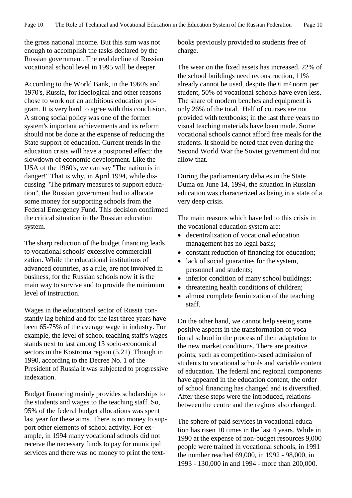the gross national income. But this sum was not enough to accomplish the tasks declared by the Russian government. The real decline of Russian vocational school level in 1995 will be deeper.

According to the World Bank, in the 1960's and 1970's, Russia, for ideological and other reasons chose to work out an ambitious education program. It is very hard to agree with this conclusion. A strong social policy was one of the former system's important achievements and its reform should not be done at the expense of reducing the State support of education. Current trends in the education crisis will have a postponed effect: the slowdown of economic development. Like the USA of the 1960's, we can say "The nation is in danger!" That is why, in April 1994, while discussing "The primary measures to support education", the Russian government had to allocate some money for supporting schools from the Federal Emergency Fund. This decision confirmed the critical situation in the Russian education system.

The sharp reduction of the budget financing leads to vocational schools' excessive commercialization. While the educational institutions of advanced countries, as a rule, are not involved in business, for the Russian schools now it is the main way to survive and to provide the minimum level of instruction.

Wages in the educational sector of Russia constantly lag behind and for the last three years have been 65-75% of the average wage in industry. For example, the level of school teaching staff's wages stands next to last among 13 socio-economical sectors in the Kostroma region (5.21). Though in 1990, according to the Decree No. 1 of the President of Russia it was subjected to progressive indexation.

Budget financing mainly provides scholarships to the students and wages to the teaching staff. So, 95% of the federal budget allocations was spent last year for these aims. There is no money to support other elements of school activity. For example, in 1994 many vocational schools did not receive the necessary funds to pay for municipal services and there was no money to print the textbooks previously provided to students free of charge.

The wear on the fixed assets has increased. 22% of the school buildings need reconstruction, 11% already cannot be used, despite the 6 m² norm per student, 50% of vocational schools have even less. The share of modern benches and equipment is only 26% of the total. Half of courses are not provided with textbooks; in the last three years no visual teaching materials have been made. Some vocational schools cannot afford free meals for the students. It should be noted that even during the Second World War the Soviet government did not allow that.

During the parliamentary debates in the State Duma on June 14, 1994, the situation in Russian education was characterized as being in a state of a very deep crisis.

The main reasons which have led to this crisis in the vocational education system are:

- decentralization of vocational education management has no legal basis;
- constant reduction of financing for education;
- lack of social guaranties for the system, personnel and students;
- inferior condition of many school buildings;
- threatening health conditions of children;
- $\bullet$  almost complete feminization of the teaching staff.

On the other hand, we cannot help seeing some positive aspects in the transformation of vocational school in the process of their adaptation to the new market conditions. There are positive points, such as competition-based admission of students to vocational schools and variable content of education. The federal and regional components have appeared in the education content, the order of school financing has changed and is diversified. After these steps were the introduced, relations between the centre and the regions also changed.

The sphere of paid services in vocational education has risen 10 times in the last 4 years. While in 1990 at the expense of non-budget resources 9,000 people were trained in vocational schools, in 1991 the number reached 69,000, in 1992 - 98,000, in 1993 - 130,000 in and 1994 - more than 200,000.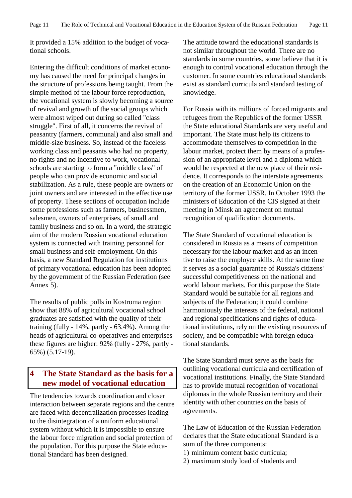It provided a 15% addition to the budget of vocational schools.

Entering the difficult conditions of market economy has caused the need for principal changes in the structure of professions being taught. From the simple method of the labour force reproduction, the vocational system is slowly becoming a source of revival and growth of the social groups which were almost wiped out during so called "class struggle". First of all, it concerns the revival of peasantry (farmers, communal) and also small and middle-size business. So, instead of the faceless working class and peasants who had no property, no rights and no incentive to work, vocational schools are starting to form a "middle class" of people who can provide economic and social stabilization. As a rule, these people are owners or joint owners and are interested in the effective use of property. These sections of occupation include some professions such as farmers, businessmen, salesmen, owners of enterprises, of small and family business and so on. In a word, the strategic aim of the modern Russian vocational education system is connected with training personnel for small business and self-employment. On this basis, a new Standard Regulation for institutions of primary vocational education has been adopted by the government of the Russian Federation (see Annex 5).

The results of public polls in Kostroma region show that 88% of agricultural vocational school graduates are satisfied with the quality of their training (fully - 14%, partly - 63.4%). Among the heads of agricultural co-operatives and enterprises these figures are higher: 92% (fully - 27%, partly - 65%) (5.17-19).

## **4 The State Standard as the basis for a new model of vocational education**

The tendencies towards coordination and closer interaction between separate regions and the centre are faced with decentralization processes leading to the disintegration of a uniform educational system without which it is impossible to ensure the labour force migration and social protection of the population. For this purpose the State educational Standard has been designed.

The attitude toward the educational standards is not similar throughout the world. There are no standards in some countries, some believe that it is enough to control vocational education through the customer. In some countries educational standards exist as standard curricula and standard testing of knowledge.

For Russia with its millions of forced migrants and refugees from the Republics of the former USSR the State educational Standards are very useful and important. The State must help its citizens to accommodate themselves to competition in the labour market, protect them by means of a profession of an appropriate level and a diploma which would be respected at the new place of their residence. It corresponds to the interstate agreements on the creation of an Economic Union on the territory of the former USSR. In October 1993 the ministers of Education of the CIS signed at their meeting in Minsk an agreement on mutual recognition of qualification documents.

The State Standard of vocational education is considered in Russia as a means of competition necessary for the labour market and as an incentive to raise the employee skills. At the same time it serves as a social guarantee of Russia's citizens' successful competitiveness on the national and world labour markets. For this purpose the State Standard would be suitable for all regions and subjects of the Federation; it could combine harmoniously the interests of the federal, national and regional specifications and rights of educational institutions, rely on the existing resources of society, and be compatible with foreign educational standards.

The State Standard must serve as the basis for outlining vocational curricula and certification of vocational institutions. Finally, the State Standard has to provide mutual recognition of vocational diplomas in the whole Russian territory and their identity with other countries on the basis of agreements.

The Law of Education of the Russian Federation declares that the State educational Standard is a sum of the three components:

- 1) minimum content basic curricula;
- 2) maximum study load of students and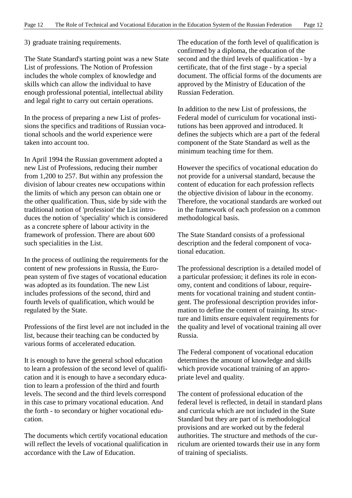3) graduate training requirements.

The State Standard's starting point was a new State List of professions. The Notion of Profession includes the whole complex of knowledge and skills which can allow the individual to have enough professional potential, intellectual ability and legal right to carry out certain operations.

In the process of preparing a new List of professions the specifics and traditions of Russian vocational schools and the world experience were taken into account too.

In April 1994 the Russian government adopted a new List of Professions, reducing their number from 1,200 to 257. But within any profession the division of labour creates new occupations within the limits of which any person can obtain one or the other qualification. Thus, side by side with the traditional notion of 'profession' the List introduces the notion of 'speciality' which is considered as a concrete sphere of labour activity in the framework of profession. There are about 600 such specialities in the List.

In the process of outlining the requirements for the content of new professions in Russia, the European system of five stages of vocational education was adopted as its foundation. The new List includes professions of the second, third and fourth levels of qualification, which would be regulated by the State.

Professions of the first level are not included in the list, because their teaching can be conducted by various forms of accelerated education.

It is enough to have the general school education to learn a profession of the second level of qualification and it is enough to have a secondary education to learn a profession of the third and fourth levels. The second and the third levels correspond in this case to primary vocational education. And the forth - to secondary or higher vocational education.

The documents which certify vocational education will reflect the levels of vocational qualification in accordance with the Law of Education.

The education of the forth level of qualification is confirmed by a diploma, the education of the second and the third levels of qualification - by a certificate, that of the first stage - by a special document. The official forms of the documents are approved by the Ministry of Education of the Russian Federation.

In addition to the new List of professions, the Federal model of curriculum for vocational institutions has been approved and introduced. It defines the subjects which are a part of the federal component of the State Standard as well as the minimum teaching time for them.

However the specifics of vocational education do not provide for a universal standard, because the content of education for each profession reflects the objective division of labour in the economy. Therefore, the vocational standards are worked out in the framework of each profession on a common methodological basis.

The State Standard consists of a professional description and the federal component of vocational education.

The professional description is a detailed model of a particular profession; it defines its role in economy, content and conditions of labour, requirements for vocational training and student contingent. The professional description provides information to define the content of training. Its structure and limits ensure equivalent requirements for the quality and level of vocational training all over Russia.

The Federal component of vocational education determines the amount of knowledge and skills which provide vocational training of an appropriate level and quality.

The content of professional education of the federal level is reflected, in detail in standard plans and curricula which are not included in the State Standard but they are part of is methodological provisions and are worked out by the federal authorities. The structure and methods of the curriculum are oriented towards their use in any form of training of specialists.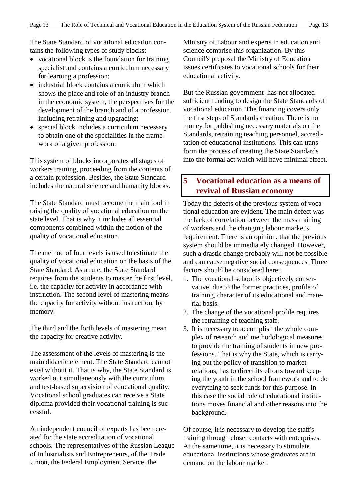The State Standard of vocational education contains the following types of study blocks:

- vocational block is the foundation for training specialist and contains a curriculum necessary for learning a profession;
- industrial block contains a curriculum which shows the place and role of an industry branch in the economic system, the perspectives for the development of the branch and of a profession, including retraining and upgrading;
- special block includes a curriculum necessary to obtain one of the specialities in the framework of a given profession.

This system of blocks incorporates all stages of workers training, proceeding from the contents of a certain profession. Besides, the State Standard includes the natural science and humanity blocks.

The State Standard must become the main tool in raising the quality of vocational education on the state level. That is why it includes all essential components combined within the notion of the quality of vocational education.

The method of four levels is used to estimate the quality of vocational education on the basis of the State Standard. As a rule, the State Standard requires from the students to master the first level, i.e. the capacity for activity in accordance with instruction. The second level of mastering means the capacity for activity without instruction, by memory.

The third and the forth levels of mastering mean the capacity for creative activity.

The assessment of the levels of mastering is the main didactic element. The State Standard cannot exist without it. That is why, the State Standard is worked out simultaneously with the curriculum and test-based supervision of educational quality. Vocational school graduates can receive a State diploma provided their vocational training is successful.

An independent council of experts has been created for the state accreditation of vocational schools. The representatives of the Russian League of Industrialists and Entrepreneurs, of the Trade Union, the Federal Employment Service, the

Ministry of Labour and experts in education and science comprise this organization. By this Council's proposal the Ministry of Education issues certificates to vocational schools for their educational activity.

But the Russian government has not allocated sufficient funding to design the State Standards of vocational education. The financing covers only the first steps of Standards creation. There is no money for publishing necessary materials on the Standards, retraining teaching personnel, accreditation of educational institutions. This can transform the process of creating the State Standards into the formal act which will have minimal effect.

## **5 Vocational education as a means of revival of Russian economy**

Today the defects of the previous system of vocational education are evident. The main defect was the lack of correlation between the mass training of workers and the changing labour market's requirement. There is an opinion, that the previous system should be immediately changed. However, such a drastic change probably will not be possible and can cause negative social consequences. Three factors should be considered here:

- 1. The vocational school is objectively conservative, due to the former practices, profile of training, character of its educational and material basis.
- 2. The change of the vocational profile requires the retraining of teaching staff.
- 3. It is necessary to accomplish the whole complex of research and methodological measures to provide the training of students in new professions. That is why the State, which is carrying out the policy of transition to market relations, has to direct its efforts toward keeping the youth in the school framework and to do everything to seek funds for this purpose. In this case the social role of educational institutions moves financial and other reasons into the background.

Of course, it is necessary to develop the staff's training through closer contacts with enterprises. At the same time, it is necessary to stimulate educational institutions whose graduates are in demand on the labour market.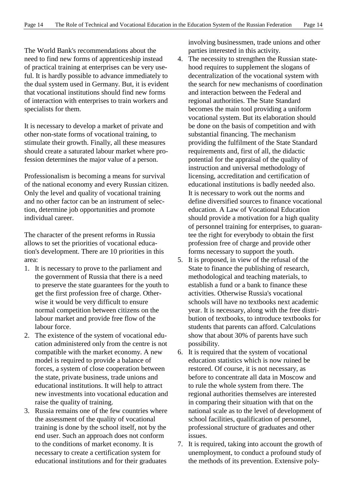The World Bank's recommendations about the need to find new forms of apprenticeship instead of practical training at enterprises can be very useful. It is hardly possible to advance immediately to the dual system used in Germany. But, it is evident that vocational institutions should find new forms of interaction with enterprises to train workers and specialists for them.

It is necessary to develop a market of private and other non-state forms of vocational training, to stimulate their growth. Finally, all these measures should create a saturated labour market where profession determines the major value of a person.

Professionalism is becoming a means for survival of the national economy and every Russian citizen. Only the level and quality of vocational training and no other factor can be an instrument of selection, determine job opportunities and promote individual career.

The character of the present reforms in Russia allows to set the priorities of vocational education's development. There are 10 priorities in this area:

- 1. It is necessary to prove to the parliament and the government of Russia that there is a need to preserve the state guarantees for the youth to get the first profession free of charge. Otherwise it would be very difficult to ensure normal competition between citizens on the labour market and provide free flow of the labour force.
- 2. The existence of the system of vocational education administered only from the centre is not compatible with the market economy. A new model is required to provide a balance of forces, a system of close cooperation between the state, private business, trade unions and educational institutions. It will help to attract new investments into vocational education and raise the quality of training.
- 3. Russia remains one of the few countries where the assessment of the quality of vocational training is done by the school itself, not by the end user. Such an approach does not conform to the conditions of market economy. It is necessary to create a certification system for educational institutions and for their graduates

involving businessmen, trade unions and other parties interested in this activity.

- 4. The necessity to strengthen the Russian statehood requires to supplement the slogans of decentralization of the vocational system with the search for new mechanisms of coordination and interaction between the Federal and regional authorities. The State Standard becomes the main tool providing a uniform vocational system. But its elaboration should be done on the basis of competition and with substantial financing. The mechanism providing the fulfilment of the State Standard requirements and, first of all, the didactic potential for the appraisal of the quality of instruction and universal methodology of licensing, accreditation and certification of educational institutions is badly needed also. It is necessary to work out the norms and define diversified sources to finance vocational education. A Law of Vocational Education should provide a motivation for a high quality of personnel training for enterprises, to guarantee the right for everybody to obtain the first profession free of charge and provide other forms necessary to support the youth.
- 5. It is proposed, in view of the refusal of the State to finance the publishing of research, methodological and teaching materials, to establish a fund or a bank to finance these activities. Otherwise Russia's vocational schools will have no textbooks next academic year. It is necessary, along with the free distribution of textbooks, to introduce textbooks for students that parents can afford. Calculations show that about 30% of parents have such possibility.
- 6. It is required that the system of vocational education statistics which is now ruined be restored. Of course, it is not necessary, as before to concentrate all data in Moscow and to rule the whole system from there. The regional authorities themselves are interested in comparing their situation with that on the national scale as to the level of development of school facilities, qualification of personnel, professional structure of graduates and other issues.
- 7. It is required, taking into account the growth of unemployment, to conduct a profound study of the methods of its prevention. Extensive poly-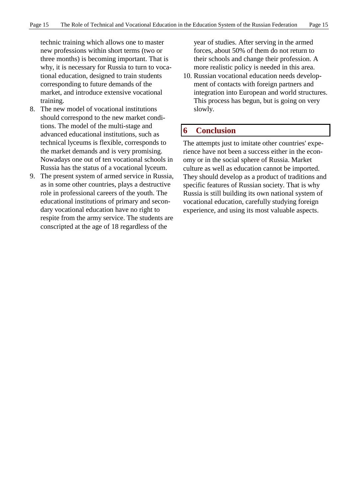technic training which allows one to master new professions within short terms (two or three months) is becoming important. That is why, it is necessary for Russia to turn to vocational education, designed to train students corresponding to future demands of the market, and introduce extensive vocational training.

- 8. The new model of vocational institutions should correspond to the new market conditions. The model of the multi-stage and advanced educational institutions, such as technical lyceums is flexible, corresponds to the market demands and is very promising. Nowadays one out of ten vocational schools in Russia has the status of a vocational lyceum.
- 9. The present system of armed service in Russia, as in some other countries, plays a destructive role in professional careers of the youth. The educational institutions of primary and secondary vocational education have no right to respite from the army service. The students are conscripted at the age of 18 regardless of the

year of studies. After serving in the armed forces, about 50% of them do not return to their schools and change their profession. A more realistic policy is needed in this area.

10. Russian vocational education needs development of contacts with foreign partners and integration into European and world structures. This process has begun, but is going on very slowly.

## **6 Conclusion**

The attempts just to imitate other countries' experience have not been a success either in the economy or in the social sphere of Russia. Market culture as well as education cannot be imported. They should develop as a product of traditions and specific features of Russian society. That is why Russia is still building its own national system of vocational education, carefully studying foreign experience, and using its most valuable aspects.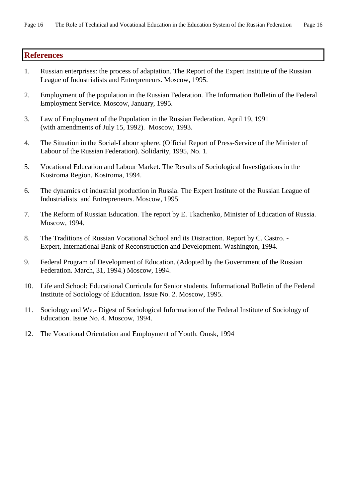## **References**

- 1. Russian enterprises: the process of adaptation. The Report of the Expert Institute of the Russian League of Industrialists and Entrepreneurs. Moscow, 1995.
- 2. Employment of the population in the Russian Federation. The Information Bulletin of the Federal Employment Service. Moscow, January, 1995.
- 3. Law of Employment of the Population in the Russian Federation. April 19, 1991 (with amendments of July 15, 1992). Moscow, 1993.
- 4. The Situation in the Social-Labour sphere. (Official Report of Press-Service of the Minister of Labour of the Russian Federation). Solidarity, 1995, No. 1.
- 5. Vocational Education and Labour Market. The Results of Sociological Investigations in the Kostroma Region. Kostroma, 1994.
- 6. The dynamics of industrial production in Russia. The Expert Institute of the Russian League of Industrialists and Entrepreneurs. Moscow, 1995
- 7. The Reform of Russian Education. The report by E. Tkachenko, Minister of Education of Russia. Moscow, 1994.
- 8. The Traditions of Russian Vocational School and its Distraction. Report by C. Castro. Expert, International Bank of Reconstruction and Development. Washington, 1994.
- 9. Federal Program of Development of Education. (Adopted by the Government of the Russian Federation. March, 31, 1994.) Moscow, 1994.
- 10. Life and School: Educational Curricula for Senior students. Informational Bulletin of the Federal Institute of Sociology of Education. Issue No. 2. Moscow, 1995.
- 11. Sociology and We.- Digest of Sociological Information of the Federal Institute of Sociology of Education. Issue No. 4. Moscow, 1994.
- 12. The Vocational Orientation and Employment of Youth. Omsk, 1994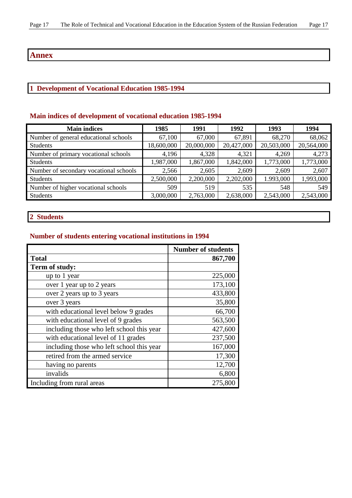## **Annex**

## **1 Development of Vocational Education 1985-1994**

## **Main indices of development of vocational education 1985-1994**

| <b>Main indices</b>                    | 1985       | 1991       | 1992       | 1993       | 1994       |
|----------------------------------------|------------|------------|------------|------------|------------|
| Number of general educational schools  | 67,100     | 67,000     | 67,891     | 68,270     | 68,062     |
| <b>Students</b>                        | 18,600,000 | 20,000,000 | 20,427,000 | 20,503,000 | 20,564,000 |
| Number of primary vocational schools   | 4,196      | 4,328      | 4,321      | 4,269      | 4,273      |
| <b>Students</b>                        | 1,987,000  | 1,867,000  | 1,842,000  | 1,773,000  | 1,773,000  |
| Number of secondary vocational schools | 2,566      | 2,605      | 2,609      | 2,609      | 2,607      |
| <b>Students</b>                        | 2,500,000  | 2,200,000  | 2,202,000  | 1.993,000  | 1,993,000  |
| Number of higher vocational schools    | 509        | 519        | 535        | 548        | 549        |
| <b>Students</b>                        | 3,000,000  | 2,763,000  | 2,638,000  | 2,543,000  | 2,543,000  |

## **2 Students**

## **Number of students entering vocational institutions in 1994**

|                                           | <b>Number of students</b> |
|-------------------------------------------|---------------------------|
| <b>Total</b>                              | 867,700                   |
| Term of study:                            |                           |
| up to 1 year                              | 225,000                   |
| over 1 year up to 2 years                 | 173,100                   |
| over 2 years up to 3 years                | 433,800                   |
| over 3 years                              | 35,800                    |
| with educational level below 9 grades     | 66,700                    |
| with educational level of 9 grades        | 563,500                   |
| including those who left school this year | 427,600                   |
| with educational level of 11 grades       | 237,500                   |
| including those who left school this year | 167,000                   |
| retired from the armed service            | 17,300                    |
| having no parents                         | 12,700                    |
| invalids                                  | 6,800                     |
| Including from rural areas                | 275,800                   |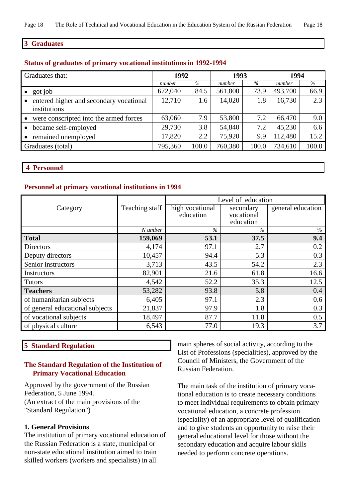#### **3 Graduates**

#### **Status of graduates of primary vocational institutions in 1992-1994**

| Graduates that:                         | 1992    |       | 1993    |       | 1994    |       |
|-----------------------------------------|---------|-------|---------|-------|---------|-------|
|                                         | number  | $\%$  | number  | $\%$  | number  | $\%$  |
| got job                                 | 672,040 | 84.5  | 561,800 | 73.9  | 493,700 | 66.9  |
| entered higher and secondary vocational | 12,710  | 1.6   | 14,020  | 1.8   | 16,730  | 2.3   |
| institutions                            |         |       |         |       |         |       |
| were conscripted into the armed forces  | 63,060  | 7.9   | 53,800  | 7.2   | 66,470  | 9.0   |
| became self-employed                    | 29,730  | 3.8   | 54,840  | 7.2   | 45,230  | 6.6   |
| remained unemployed                     | 17,820  | 2.2   | 75,920  | 9.9   | 112,480 | 15.2  |
| Graduates (total)                       | 795,360 | 100.0 | 760,380 | 100.0 | 734,610 | 100.0 |

 **4 Personnel**

#### **Personnel at primary vocational institutions in 1994**

|                                 | Teaching staff | Level of education |            |                   |  |  |
|---------------------------------|----------------|--------------------|------------|-------------------|--|--|
| Category                        |                | high vocational    | secondary  | general education |  |  |
|                                 |                | education          | vocational |                   |  |  |
|                                 |                |                    | education  |                   |  |  |
|                                 | N umber        | $\frac{0}{6}$      | $\%$       | $\%$              |  |  |
| <b>Total</b>                    | 159,069        | 53.1               | 37.5       | 9.4               |  |  |
| <b>Directors</b>                | 4,174          | 97.1               | 2.7        | 0.2               |  |  |
| Deputy directors                | 10,457         | 94.4               | 5.3        | 0.3               |  |  |
| Senior instructors              | 3,713          | 43.5               | 54.2       | 2.3               |  |  |
| <b>Instructors</b>              | 82,901         | 21.6               | 61.8       | 16.6              |  |  |
| <b>Tutors</b>                   | 4,542          | 52.2               | 35.3       | 12.5              |  |  |
| <b>Teachers</b>                 | 53,282         | 93.8               | 5.8        | 0.4               |  |  |
| of humanitarian subjects        | 6,405          | 97.1               | 2.3        | 0.6               |  |  |
| of general educational subjects | 21,837         | 97.9               | 1.8        | 0.3               |  |  |
| of vocational subjects          | 18,497         | 87.7               | 11.8       | 0.5               |  |  |
| of physical culture             | 6,543          | 77.0               | 19.3       | 3.7               |  |  |

### **5 Standard Regulation**

#### **The Standard Regulation of the Institution of Primary Vocational Education**

Approved by the government of the Russian Federation, 5 June 1994. (An extract of the main provisions of the "Standard Regulation")

#### **1. General Provisions**

The institution of primary vocational education of the Russian Federation is a state, municipal or non-state educational institution aimed to train skilled workers (workers and specialists) in all

main spheres of social activity, according to the List of Professions (specialities), approved by the Council of Ministers, the Government of the Russian Federation.

The main task of the institution of primary vocational education is to create necessary conditions to meet individual requirements to obtain primary vocational education, a concrete profession (speciality) of an appropriate level of qualification and to give students an opportunity to raise their general educational level for those without the secondary education and acquire labour skills needed to perform concrete operations.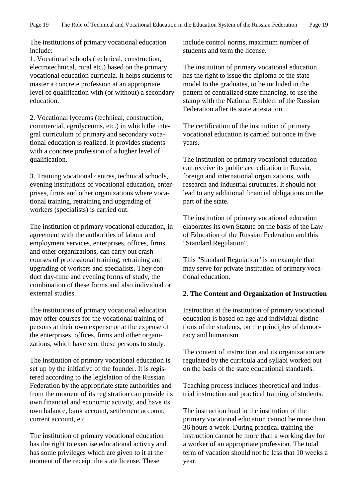The institutions of primary vocational education include:

1. Vocational schools (technical, construction, electrotechnical, rural etc.) based on the primary vocational education curricula. It helps students to master a concrete profession at an appropriate level of qualification with (or without) a secondary education.

2. Vocational lyceums (technical, construction, commercial, agrolyceums, etc.) in which the integral curriculum of primary and secondary vocational education is realized. It provides students with a concrete profession of a higher level of qualification.

3. Training vocational centres, technical schools, evening institutions of vocational education, enterprises, firms and other organizations where vocational training, retraining and upgrading of workers (specialists) is carried out.

The institution of primary vocational education, in agreement with the authorities of labour and employment services, enterprises, offices, firms and other organizations, can carry out crash courses of professional training, retraining and upgrading of workers and specialists. They conduct day-time and evening forms of study, the combination of these forms and also individual or external studies.

The institutions of primary vocational education may offer courses for the vocational training of persons at their own expense or at the expense of the enterprises, offices, firms and other organizations, which have sent these persons to study.

The institution of primary vocational education is set up by the initiative of the founder. It is registered according to the legislation of the Russian Federation by the appropriate state authorities and from the moment of its registration can provide its own financial and economic activity, and have its own balance, bank account, settlement account, current account, etc.

The institution of primary vocational education has the right to exercise educational activity and has some privileges which are given to it at the moment of the receipt the state license. These

include control norms, maximum number of students and term the license.

The institution of primary vocational education has the right to issue the diploma of the state model to the graduates, to be included in the pattern of centralized state financing, to use the stamp with the National Emblem of the Russian Federation after its state attestation.

The certification of the institution of primary vocational education is carried out once in five years.

The institution of primary vocational education can receive its public accreditation in Russia, foreign and international organizations, with research and industrial structures. It should not lead to any additional financial obligations on the part of the state.

The institution of primary vocational education elaborates its own Statute on the basis of the Law of Education of the Russian Federation and this "Standard Regulation".

This "Standard Regulation" is an example that may serve for private institution of primary vocational education.

#### **2. The Content and Organization of Instruction**

Instruction at the institution of primary vocational education is based on age and individual distinctions of the students, on the principles of democracy and humanism.

The content of instruction and its organization are regulated by the curricula and syllabi worked out on the basis of the state educational standards.

Teaching process includes theoretical and industrial instruction and practical training of students.

The instruction load in the institution of the primary vocational education cannot be more than 36 hours a week. During practical training the instruction cannot be more than a working day for a worker of an appropriate profession. The total term of vacation should not be less that 10 weeks a year.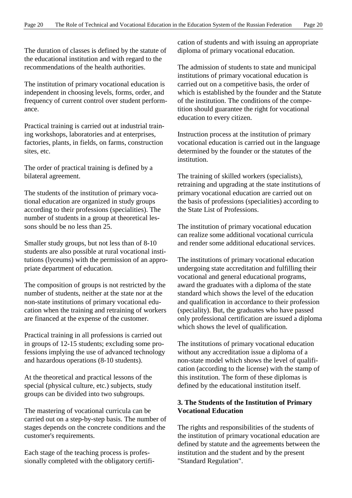The duration of classes is defined by the statute of the educational institution and with regard to the recommendations of the health authorities.

The institution of primary vocational education is independent in choosing levels, forms, order, and frequency of current control over student performance.

Practical training is carried out at industrial training workshops, laboratories and at enterprises, factories, plants, in fields, on farms, construction sites, etc.

The order of practical training is defined by a bilateral agreement.

The students of the institution of primary vocational education are organized in study groups according to their professions (specialities). The number of students in a group at theoretical lessons should be no less than 25.

Smaller study groups, but not less than of 8-10 students are also possible at rural vocational institutions (lyceums) with the permission of an appropriate department of education.

The composition of groups is not restricted by the number of students, neither at the state nor at the non-state institutions of primary vocational education when the training and retraining of workers are financed at the expense of the customer.

Practical training in all professions is carried out in groups of 12-15 students; excluding some professions implying the use of advanced technology and hazardous operations (8-10 students).

At the theoretical and practical lessons of the special (physical culture, etc.) subjects, study groups can be divided into two subgroups.

The mastering of vocational curricula can be carried out on a step-by-step basis. The number of stages depends on the concrete conditions and the customer's requirements.

Each stage of the teaching process is professionally completed with the obligatory certification of students and with issuing an appropriate diploma of primary vocational education.

The admission of students to state and municipal institutions of primary vocational education is carried out on a competitive basis, the order of which is established by the founder and the Statute of the institution. The conditions of the competition should guarantee the right for vocational education to every citizen.

Instruction process at the institution of primary vocational education is carried out in the language determined by the founder or the statutes of the institution.

The training of skilled workers (specialists), retraining and upgrading at the state institutions of primary vocational education are carried out on the basis of professions (specialities) according to the State List of Professions.

The institution of primary vocational education can realize some additional vocational curricula and render some additional educational services.

The institutions of primary vocational education undergoing state accreditation and fulfilling their vocational and general educational programs, award the graduates with a diploma of the state standard which shows the level of the education and qualification in accordance to their profession (speciality). But, the graduates who have passed only professional certification are issued a diploma which shows the level of qualification.

The institutions of primary vocational education without any accreditation issue a diploma of a non-state model which shows the level of qualification (according to the license) with the stamp of this institution. The form of these diplomas is defined by the educational institution itself.

## **3. The Students of the Institution of Primary Vocational Education**

The rights and responsibilities of the students of the institution of primary vocational education are defined by statute and the agreements between the institution and the student and by the present "Standard Regulation".